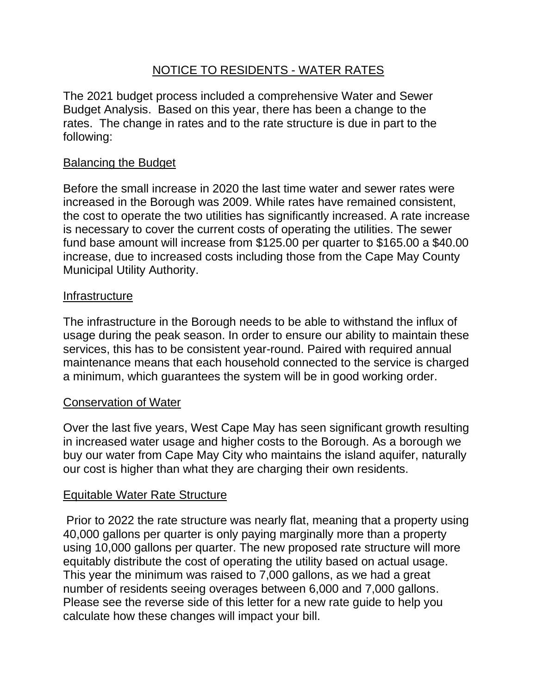# NOTICE TO RESIDENTS - WATER RATES

The 2021 budget process included a comprehensive Water and Sewer Budget Analysis. Based on this year, there has been a change to the rates. The change in rates and to the rate structure is due in part to the following:

## Balancing the Budget

Before the small increase in 2020 the last time water and sewer rates were increased in the Borough was 2009. While rates have remained consistent, the cost to operate the two utilities has significantly increased. A rate increase is necessary to cover the current costs of operating the utilities. The sewer fund base amount will increase from \$125.00 per quarter to \$165.00 a \$40.00 increase, due to increased costs including those from the Cape May County Municipal Utility Authority.

### Infrastructure

The infrastructure in the Borough needs to be able to withstand the influx of usage during the peak season. In order to ensure our ability to maintain these services, this has to be consistent year-round. Paired with required annual maintenance means that each household connected to the service is charged a minimum, which guarantees the system will be in good working order.

## Conservation of Water

Over the last five years, West Cape May has seen significant growth resulting in increased water usage and higher costs to the Borough. As a borough we buy our water from Cape May City who maintains the island aquifer, naturally our cost is higher than what they are charging their own residents.

### Equitable Water Rate Structure

Prior to 2022 the rate structure was nearly flat, meaning that a property using 40,000 gallons per quarter is only paying marginally more than a property using 10,000 gallons per quarter. The new proposed rate structure will more equitably distribute the cost of operating the utility based on actual usage. This year the minimum was raised to 7,000 gallons, as we had a great number of residents seeing overages between 6,000 and 7,000 gallons. Please see the reverse side of this letter for a new rate guide to help you calculate how these changes will impact your bill.